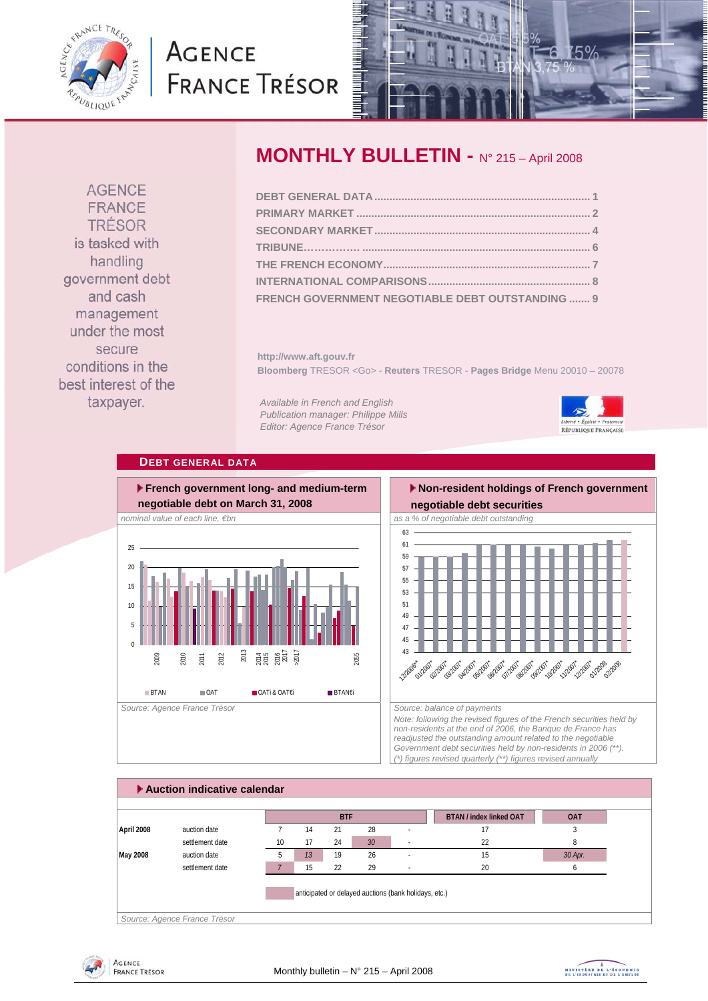<span id="page-0-0"></span>

# **AGENCE FRANCE TRÉSOR**



**AGENCE** FRANCE TRÉSOR is tasked with handling government debt and cash management under the most secure conditions in the best interest of the taxpayer.

## **MONTHLY BULLETIN -** N° 215 – April 2008

| FRENCH GOVERNMENT NEGOTIABLE DEBT OUTSTANDING  9 |  |
|--------------------------------------------------|--|

**http://www.aft.gouv.fr Bloomberg** TRESOR <Go> - **Reuters** TRESOR - **Pages Bridge** Menu 20010 – 20078

*Available in French and English Publication manager: Philippe Mills Editor: Agence France Trésor* 



#### **DEBT GENERAL DATA**



### **Non-resident holdings of French government**



*Note: following the revised figures of the French securities held by non-residents at the end of 2006, the Banque de France has readjusted the outstanding amount related to the negotiable Government debt securities held by non-residents in 2006 (\*\*). (\*) figures revised quarterly (\*\*) figures revised annually* 





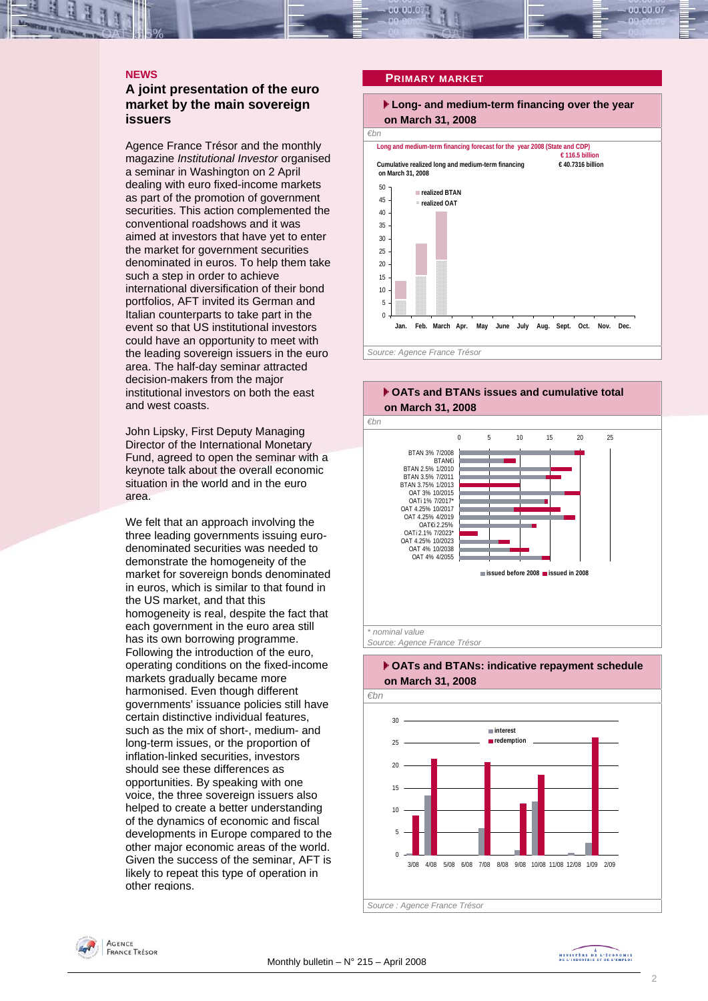#### **A joint presentation of the euro market by the main sovereign issuers**

Agence France Trésor and the monthly magazine *Institutional Investor* organised a seminar in Washington on 2 April dealing with euro fixed-income markets as part of the promotion of government securities. This action complemented the conventional roadshows and it was aimed at investors that have yet to enter the market for government securities denominated in euros. To help them take such a step in order to achieve international diversification of their bond portfolios, AFT invited its German and Italian counterparts to take part in the event so that US institutional investors could have an opportunity to meet with the leading sovereign issuers in the euro area. The half-day seminar attracted decision-makers from the major institutional investors on both the east and west coasts.

John Lipsky, First Deputy Managing Director of the International Monetary Fund, agreed to open the seminar with a keynote talk about the overall economic situation in the world and in the euro area.

We felt that an approach involving the three leading governments issuing eurodenominated securities was needed to demonstrate the homogeneity of the market for sovereign bonds denominated in euros, which is similar to that found in the US market, and that this homogeneity is real, despite the fact that each government in the euro area still has its own borrowing programme. Following the introduction of the euro, operating conditions on the fixed-income markets gradually became more harmonised. Even though different governments' issuance policies still have certain distinctive individual features, such as the mix of short-, medium- and long-term issues, or the proportion of inflation-linked securities, investors should see these differences as opportunities. By speaking with one voice, the three sovereign issuers also helped to create a better understanding of the dynamics of economic and fiscal developments in Europe compared to the other major economic areas of the world. Given the success of the seminar, AFT is likely to repeat this type of operation in other regions.

### <span id="page-1-0"></span>**PRIMARY MARKET**





*Source: Agence France Trésor* 





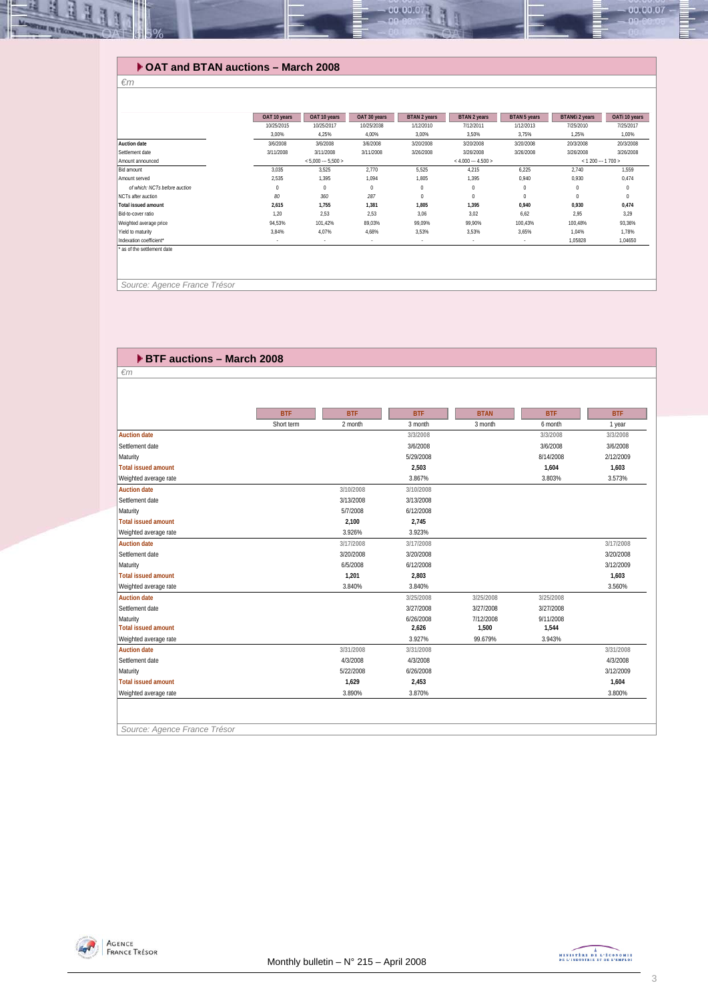#### $-00.00.07 -00.00.07$

#### **OAT and BTAN auctions – March 2008**

#### **OAT 10 years COAT 10 years DAT 30 years BTAN 2 years BTAN 5 years BTAN 5 years BTANE 2 years DATI 10 years 10/25/2015 10/25/2016 1/12/2013 1/12/2013 1/12/2013 1/12/2013 1/12/2013 1/12/2013 1/12/2013 1/12/2013 1/12/2013 1/** 10/25/2015 10/25/2017 10/25/2038 1/12/2010 7/12/2011 1/12/2013 7/25/2010 7/25/2017 3,00% 4,25% 4,00% 3,00% 3,50% 3,75% 1,25% 1,00% **Auction date** 3/6/2008 3/6/2008 3/6/2008 3/20/2008 3/20/2008 3/20/2008 20/3/2008 20/3/2008 Settlement date 3/11/2008 3/11/2008 3/11/2008 3/26/2008 3/26/2008 3/26/2008 3/26/2008 3/26/2008 Amount announced<br>Bid amount Bid amount 10 1,559 3,035 3,035 3,525 2,770 5,525 5,525 4,215 6,225 2,740 1,559 Amount served 2,535 1,395 1,395 1,094 1,805 1,395 0,940 0,930 0,474 *of which: NCTs before auction* 000 0 0 0 0 0 NCTs after auction *80 360 287* 0 0 0 00 **Total issued amount 2,615 1,755 1,381 1,805 1,395 0,940 0,930 0,474** Bid-to-cover ratio 1,20 2,53 2,53 3,06 3,02 6,62 2,95 3,29 Weighted average price 94,53% 101,42% 89,03% 99,09% 99,90% 100,43% 100,48% 93,36% Yield to maturity 3,84% 4,07% 4,68% 3,53% 3,53% 3,65% 1,04% 1,78% Indexation coefficient\* and the coefficient\* and the coefficient\* and the coefficient\* and the coefficient\* and the coefficient\* and the coefficient and the coefficient and the coefficient and the coefficient and the coeff as of the settlement date  $5,000 \cdots 5,500$  >  $\leq 4.000 \cdots 4.500$  >  $\leq 1,200 \cdots 1,700$

 *Source: Agence France Trésor* 

*€m* 

| $\epsilon$ m               |            |            |            |             |            |            |
|----------------------------|------------|------------|------------|-------------|------------|------------|
|                            |            |            |            |             |            |            |
|                            |            |            |            |             |            |            |
|                            |            |            |            |             |            |            |
|                            | <b>BTF</b> | <b>BTF</b> | <b>BTF</b> | <b>BTAN</b> | <b>BTF</b> | <b>BTF</b> |
|                            | Short term | 2 month    | 3 month    | 3 month     | 6 month    | 1 year     |
| <b>Auction date</b>        |            |            | 3/3/2008   |             | 3/3/2008   | 3/3/2008   |
| Settlement date            |            |            | 3/6/2008   |             | 3/6/2008   | 3/6/2008   |
| Maturity                   |            |            | 5/29/2008  |             | 8/14/2008  | 2/12/2009  |
| <b>Total issued amount</b> |            |            | 2,503      |             | 1,604      | 1,603      |
| Weighted average rate      |            |            | 3.867%     |             | 3.803%     | 3.573%     |
| <b>Auction date</b>        |            | 3/10/2008  | 3/10/2008  |             |            |            |
| Settlement date            |            | 3/13/2008  | 3/13/2008  |             |            |            |
| Maturity                   |            | 5/7/2008   | 6/12/2008  |             |            |            |
| <b>Total issued amount</b> |            | 2,100      | 2,745      |             |            |            |
| Weighted average rate      |            | 3.926%     | 3.923%     |             |            |            |
| <b>Auction date</b>        |            | 3/17/2008  | 3/17/2008  |             |            | 3/17/2008  |
| Settlement date            |            | 3/20/2008  | 3/20/2008  |             |            | 3/20/2008  |
| Maturity                   |            | 6/5/2008   | 6/12/2008  |             |            | 3/12/2009  |
| <b>Total issued amount</b> |            | 1,201      | 2,803      |             |            | 1,603      |
| Weighted average rate      |            | 3.840%     | 3.840%     |             |            | 3.560%     |
| <b>Auction date</b>        |            |            | 3/25/2008  | 3/25/2008   | 3/25/2008  |            |
| Settlement date            |            |            | 3/27/2008  | 3/27/2008   | 3/27/2008  |            |
| Maturity                   |            |            | 6/26/2008  | 7/12/2008   | 9/11/2008  |            |
| <b>Total issued amount</b> |            |            | 2,626      | 1,500       | 1,544      |            |
| Weighted average rate      |            |            | 3.927%     | 99.679%     | 3.943%     |            |
| <b>Auction date</b>        |            | 3/31/2008  | 3/31/2008  |             |            | 3/31/2008  |
| Settlement date            |            | 4/3/2008   | 4/3/2008   |             |            | 4/3/2008   |
| Maturity                   |            | 5/22/2008  | 6/26/2008  |             |            | 3/12/2009  |
| <b>Total issued amount</b> |            | 1,629      | 2,453      |             |            | 1,604      |
| Weighted average rate      |            | 3.890%     | 3.870%     |             |            | 3.800%     |

*Source: Agence France Trésor* 

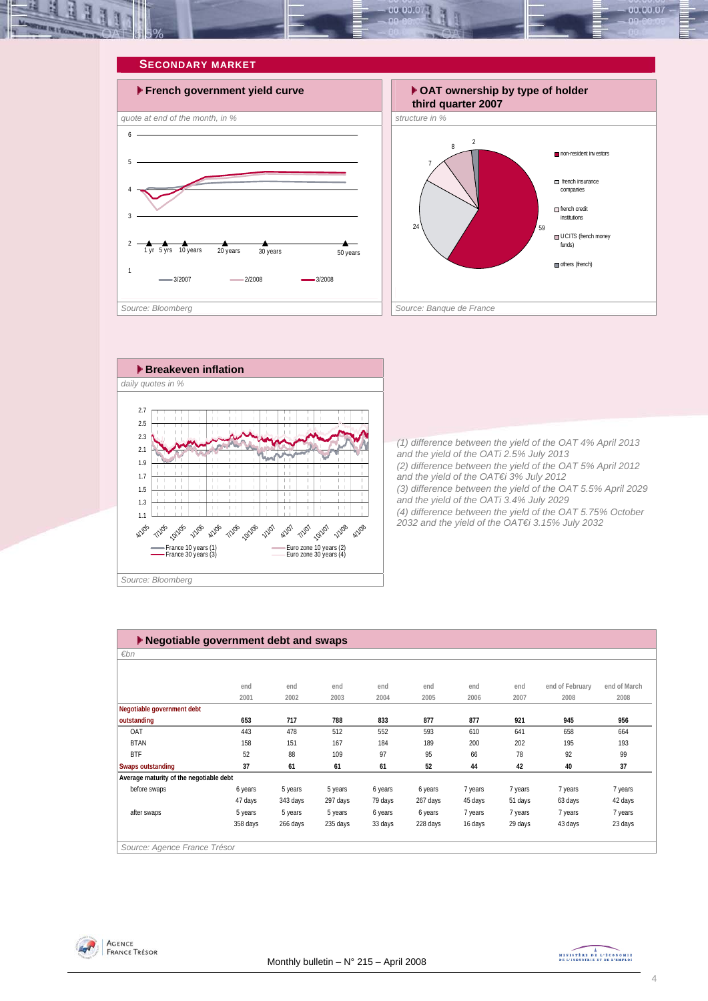<span id="page-3-0"></span>







*(1) difference between the yield of the OAT 4% April 2013 and the yield of the OATi 2.5% July 2013 (2) difference between the yield of the OAT 5% April 2012 and the yield of the OAT€i 3% July 2012 (3) difference between the yield of the OAT 5.5% April 2029 and the yield of the OATi 3.4% July 2029 (4) difference between the yield of the OAT 5.75% October 2032 and the yield of the OAT€i 3.15% July 2032* 

| $\blacktriangleright$ Negotiable government debt and swaps |          |          |          |         |          |         |         |                 |              |  |  |
|------------------------------------------------------------|----------|----------|----------|---------|----------|---------|---------|-----------------|--------------|--|--|
| $\varepsilon$ bn                                           |          |          |          |         |          |         |         |                 |              |  |  |
|                                                            |          |          |          |         |          |         |         |                 |              |  |  |
|                                                            | end      | end      | end      | end     | end      | end     | end     | end of February | end of March |  |  |
|                                                            | 2001     | 2002     | 2003     | 2004    | 2005     | 2006    | 2007    | 2008            | 2008         |  |  |
| Negotiable government debt                                 |          |          |          |         |          |         |         |                 |              |  |  |
| outstanding                                                | 653      | 717      | 788      | 833     | 877      | 877     | 921     | 945             | 956          |  |  |
| OAT                                                        | 443      | 478      | 512      | 552     | 593      | 610     | 641     | 658             | 664          |  |  |
| <b>BTAN</b>                                                | 158      | 151      | 167      | 184     | 189      | 200     | 202     | 195             | 193          |  |  |
| <b>BTF</b>                                                 | 52       | 88       | 109      | 97      | 95       | 66      | 78      | 92              | 99           |  |  |
| <b>Swaps outstanding</b>                                   | 37       | 61       | 61       | 61      | 52       | 44      | 42      | 40              | 37           |  |  |
| Average maturity of the negotiable debt                    |          |          |          |         |          |         |         |                 |              |  |  |
| before swaps                                               | 6 years  | 5 years  | 5 years  | 6 years | 6 years  | 7 years | 7 years | 7 years         | 7 years      |  |  |
|                                                            | 47 days  | 343 days | 297 days | 79 days | 267 days | 45 days | 51 days | 63 days         | 42 days      |  |  |
| after swaps                                                | 5 years  | 5 years  | 5 years  | 6 years | 6 years  | 7 years | 7 years | 7 years         | 7 years      |  |  |
|                                                            | 358 days | 266 days | 235 days | 33 days | 228 days | 16 days | 29 days | 43 days         | 23 days      |  |  |
|                                                            |          |          |          |         |          |         |         |                 |              |  |  |
| Source: Agence France Trésor                               |          |          |          |         |          |         |         |                 |              |  |  |



MINISTREE DE L'ÉCONOMIE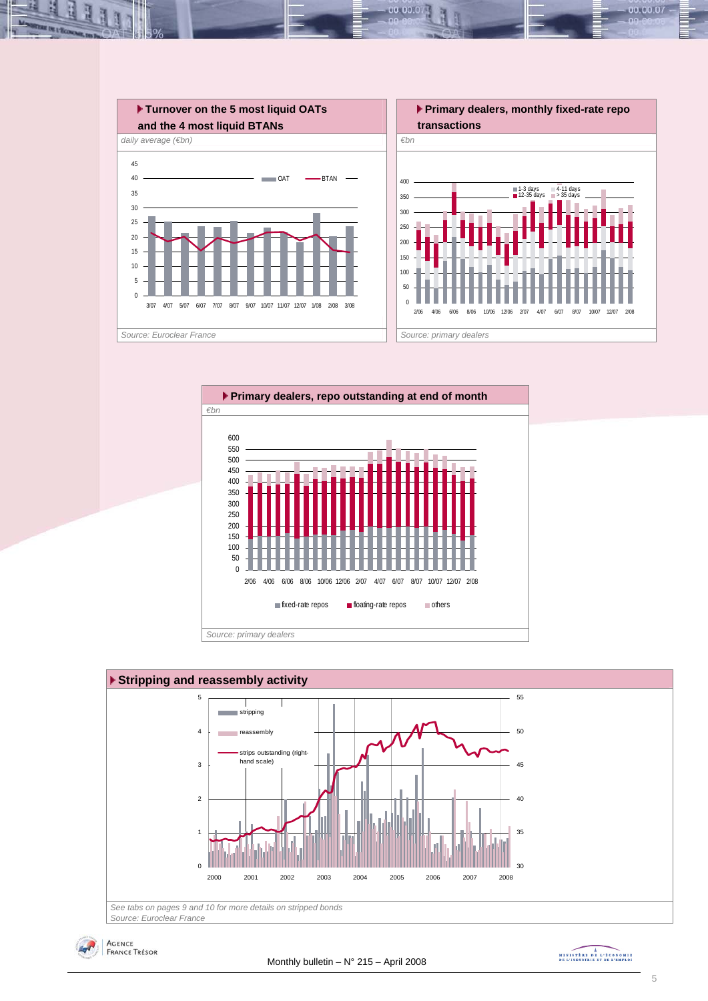







MINISTREE DE L'ÉCONOMIE

00.00.07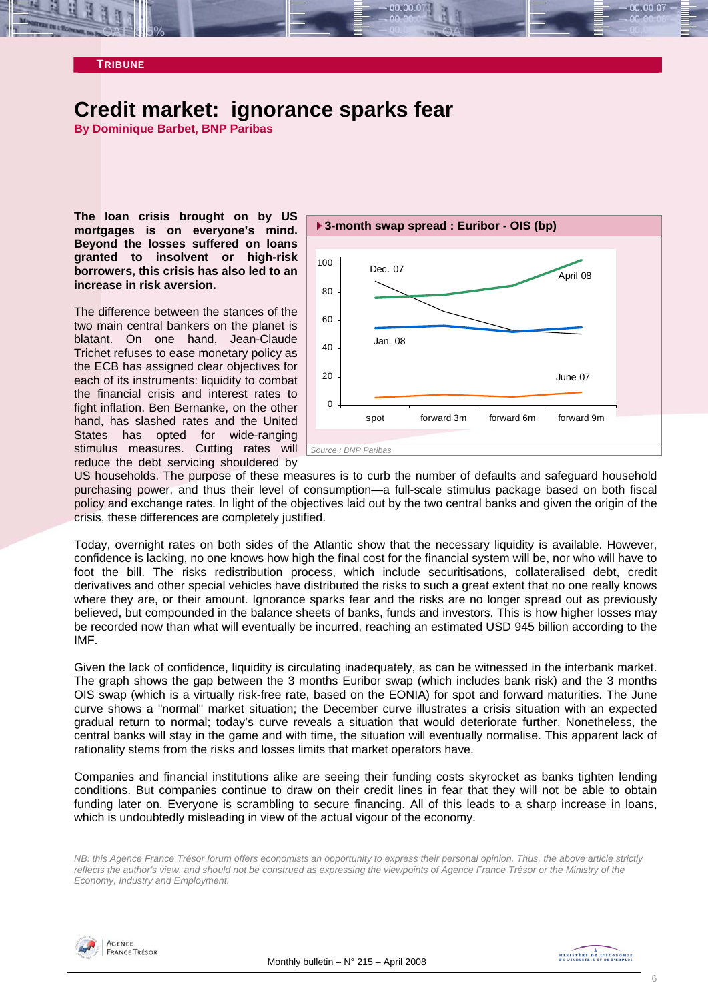<span id="page-5-0"></span>

### **Credit market: ignorance sparks fear**

**By Dominique Barbet, BNP Paribas** 

**The loan crisis brought on by US mortgages is on everyone's mind. Beyond the losses suffered on loans granted to insolvent or high-risk borrowers, this crisis has also led to an increase in risk aversion.** 

each of its instruments: liquidity to combat the financial crisis and interest rates to fight inflation. Ben Bernanke, on the other hand, has slashed rates and the United States has opted for wide-ranging stimulus measures. Cutting rates will *Source : BNP Paribas* reduce the debt servicing shouldered by The difference between the stances of the two main central bankers on the planet is blatant. On one hand, Jean-Claude Trichet refuses to ease monetary policy as the ECB has assigned clear objectives for



US households. The purpose of these measures is to curb the number of defaults and safeguard household purchasing power, and thus their level of consumption—a full-scale stimulus package based on both fiscal policy and exchange rates. In light of the objectives laid out by the two central banks and given the origin of the crisis, these differences are completely justified.

Today, overnight rates on both sides of the Atlantic show that the necessary liquidity is available. However, confidence is lacking, no one knows how high the final cost for the financial system will be, nor who will have to foot the bill. The risks redistribution process, which include securitisations, collateralised debt, credit derivatives and other special vehicles have distributed the risks to such a great extent that no one really knows where they are, or their amount. Ignorance sparks fear and the risks are no longer spread out as previously believed, but compounded in the balance sheets of banks, funds and investors. This is how higher losses may be recorded now than what will eventually be incurred, reaching an estimated USD 945 billion according to the IMF.

Given the lack of confidence, liquidity is circulating inadequately, as can be witnessed in the interbank market. The graph shows the gap between the 3 months Euribor swap (which includes bank risk) and the 3 months OIS swap (which is a virtually risk-free rate, based on the EONIA) for spot and forward maturities. The June curve shows a "normal" market situation; the December curve illustrates a crisis situation with an expected gradual return to normal; today's curve reveals a situation that would deteriorate further. Nonetheless, the central banks will stay in the game and with time, the situation will eventually normalise. This apparent lack of rationality stems from the risks and losses limits that market operators have.

Companies and financial institutions alike are seeing their funding costs skyrocket as banks tighten lending conditions. But companies continue to draw on their credit lines in fear that they will not be able to obtain funding later on. Everyone is scrambling to secure financing. All of this leads to a sharp increase in loans, which is undoubtedly misleading in view of the actual vigour of the economy.

*NB: this Agence France Trésor forum offers economists an opportunity to express their personal opinion. Thus, the above article strictly reflects the author's view, and should not be construed as expressing the viewpoints of Agence France Trésor or the Ministry of the Economy, Industry and Employment.* 

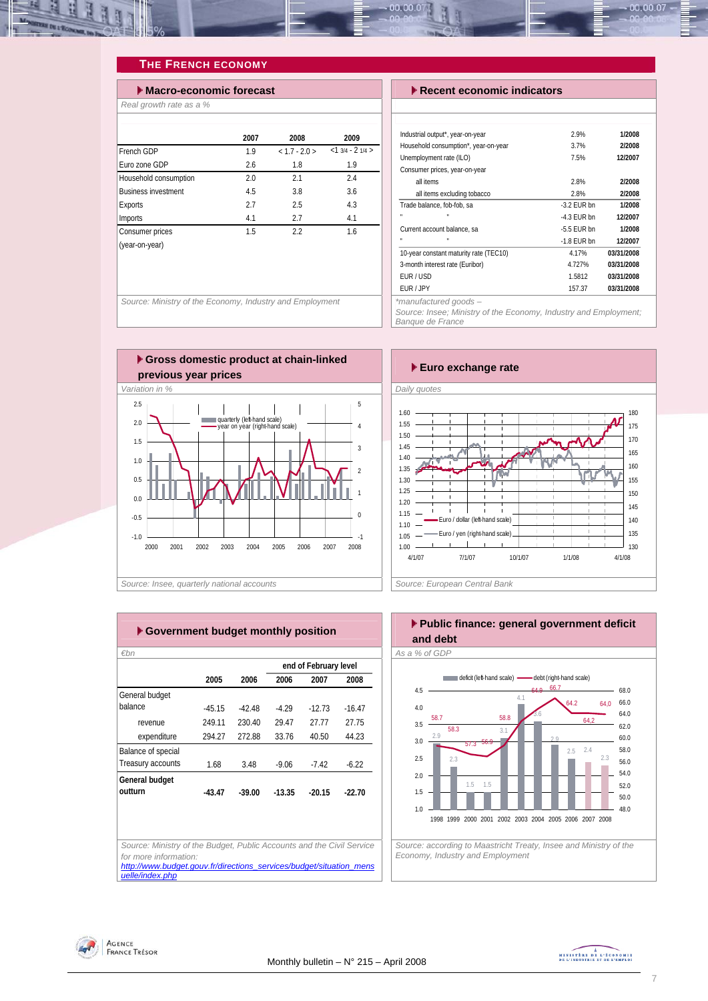<span id="page-6-0"></span>

#### **THE FRENCH ECONOMY**

| $\blacktriangleright$ Macro-economic forecast |      |               |                  |
|-----------------------------------------------|------|---------------|------------------|
| Real growth rate as a %                       |      |               |                  |
|                                               |      |               |                  |
|                                               | 2007 | 2008          | 2009             |
| French GDP                                    | 1.9  | $< 1.7 - 2.0$ | $<13/4 - 21/4 >$ |
| Furo zone GDP                                 | 2.6  | 1.8           | 1.9              |
| Household consumption                         | 2.0  | 2.1           | 2.4              |
| <b>Business investment</b>                    | 4.5  | 3.8           | 3.6              |
| Exports                                       | 2.7  | 2.5           | 4.3              |
| Imports                                       | 4.1  | 2.7           | 4.1              |
| Consumer prices                               | 1.5  | 2.2           | 1.6              |
| (year-on-year)                                |      |               |                  |
|                                               |      |               |                  |
|                                               |      |               |                  |

Source: Ministry of the Economy, Industry and Employment

#### **Execent economic indicators**

| Industrial output*, year-on-year       | 2.9%          | 1/2008     |
|----------------------------------------|---------------|------------|
| Household consumption*, year-on-year   | 3.7%          | 2/2008     |
| Unemployment rate (ILO)                | 7.5%          | 12/2007    |
| Consumer prices, year-on-year          |               |            |
| all items                              | 2.8%          | 2/2008     |
| all items excluding tobacco            | 2.8%          | 2/2008     |
| Trade balance, fob-fob, sa             | $-3.2$ FUR bn | 1/2008     |
| $\blacksquare$<br>×                    | $-4.3$ FUR bn | 12/2007    |
| Current account balance, sa            | $-5.5$ FUR bn | 1/2008     |
| $\blacksquare$                         | $-1.8$ EUR bn | 12/2007    |
| 10-year constant maturity rate (TEC10) | 4.17%         | 03/31/2008 |
| 3-month interest rate (Euribor)        | 4.727%        | 03/31/2008 |
| FUR / USD                              | 1.5812        | 03/31/2008 |
| FUR / JPY                              | 157.37        | 03/31/2008 |
| *manufacturad goods —                  |               |            |

00.00.07

*Source: Insee; Ministry of the Economy, Industry and Employment; Banque de France* 





|                    |          |          |          | end of February level |          |
|--------------------|----------|----------|----------|-----------------------|----------|
|                    | 2005     | 2006     | 2006     | 2007                  | 2008     |
| General budget     |          |          |          |                       |          |
| balance            | $-45.15$ | $-42.48$ | $-4.29$  | $-12.73$              | $-16.47$ |
| revenue            | 249.11   | 230.40   | 29.47    | 27.77                 | 27.75    |
| expenditure        | 294.27   | 272.88   | 33.76    | 40.50                 | 44.23    |
| Balance of special |          |          |          |                       |          |
| Treasury accounts  | 1.68     | 3.48     | $-9.06$  | $-7.42$               | $-6.22$  |
| General budget     |          |          |          |                       |          |
| outturn            | $-43.47$ | $-39.00$ | $-13.35$ | $-20.15$              | $-22.70$ |
|                    |          |          |          |                       |          |
|                    |          |          |          |                       |          |
|                    |          |          |          |                       |          |

#### **Public finance: general government deficit and debt**



*Economy, Industry and Employment* 



*uelle/index.php*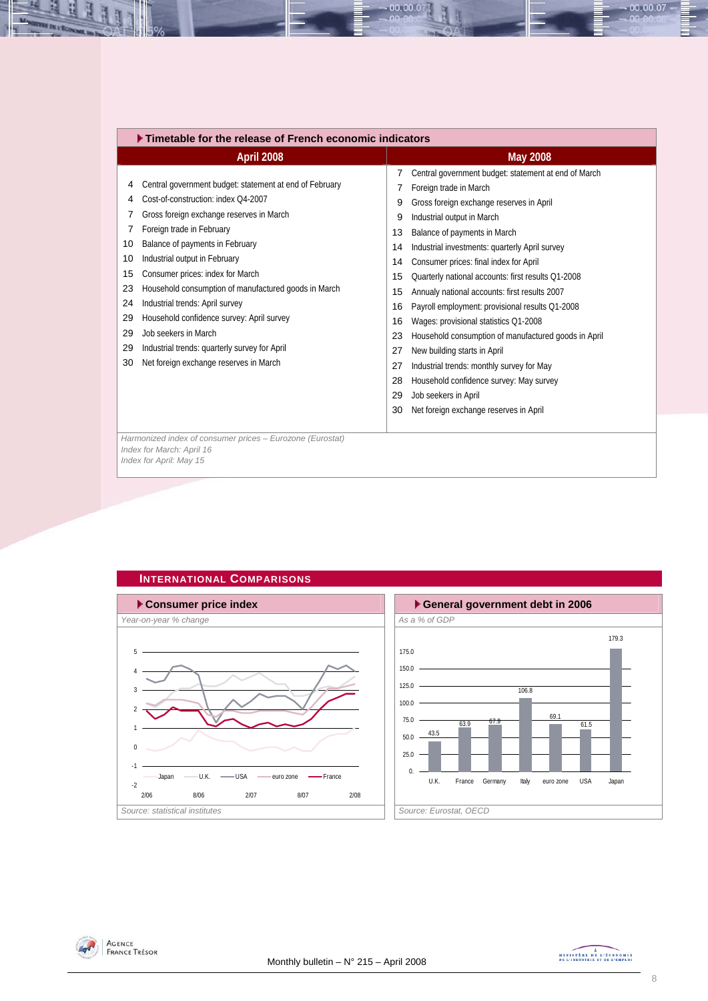<span id="page-7-0"></span>

| Timetable for the release of French economic indicators                                                                                                                                                                                                                                                                                                                                                                                                                                                                                                                                                                                                                                                                                                                                                                           |  |  |  |  |  |  |  |  |  |
|-----------------------------------------------------------------------------------------------------------------------------------------------------------------------------------------------------------------------------------------------------------------------------------------------------------------------------------------------------------------------------------------------------------------------------------------------------------------------------------------------------------------------------------------------------------------------------------------------------------------------------------------------------------------------------------------------------------------------------------------------------------------------------------------------------------------------------------|--|--|--|--|--|--|--|--|--|
| <b>May 2008</b>                                                                                                                                                                                                                                                                                                                                                                                                                                                                                                                                                                                                                                                                                                                                                                                                                   |  |  |  |  |  |  |  |  |  |
| Central government budget: statement at end of March<br>Foreign trade in March<br>Gross foreign exchange reserves in April<br>9<br>Industrial output in March<br>9<br>Balance of payments in March<br>13<br>Industrial investments: quarterly April survey<br>14<br>Consumer prices: final index for April<br>14<br>Quarterly national accounts: first results Q1-2008<br>15<br>Annualy national accounts: first results 2007<br>15<br>Payroll employment: provisional results Q1-2008<br>16<br>16<br>Wages: provisional statistics Q1-2008<br>Household consumption of manufactured goods in April<br>23<br>New building starts in April<br>27<br>Industrial trends: monthly survey for May<br>27<br>Household confidence survey: May survey<br>28<br>Job seekers in April<br>29<br>Net foreign exchange reserves in April<br>30 |  |  |  |  |  |  |  |  |  |
|                                                                                                                                                                                                                                                                                                                                                                                                                                                                                                                                                                                                                                                                                                                                                                                                                                   |  |  |  |  |  |  |  |  |  |
|                                                                                                                                                                                                                                                                                                                                                                                                                                                                                                                                                                                                                                                                                                                                                                                                                                   |  |  |  |  |  |  |  |  |  |

00.00.07

#### **INTERNATIONAL COMPARISONS**







 $-00.00.07 -$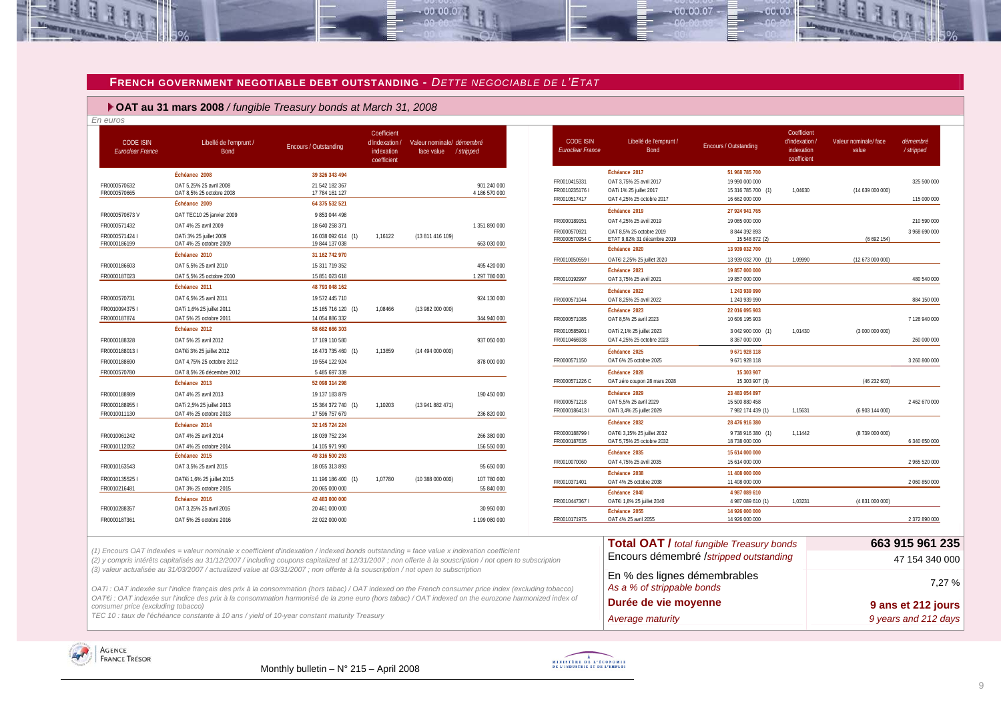#### **FRENCH GOVERNMENT NEGOTIABLE DEBT OUTSTAND ING -** *DETTE NEGOCIABLE DE L'ETAT*

 $00.00.0$ 

 **OAT au 31 mars 2008** */ fungible Treasury bonds at March 31, 2008*

| En euros<br><b>CODE ISIN</b><br><b>Euroclear France</b> | Libellé de l'emprunt /<br><b>Bond</b>                                                                                                                                                                                                                                                                | <b>Encours / Outstanding</b>                       | Coefficient<br>d'indexation<br>indexation<br>coefficient | Valeur nominale/ démembré<br>face value | /stripped                    | <b>CODE ISIN</b><br>Euroclear France | Libellé de l'emprunt /<br>Bond                                      | Encours / Outstanding                                  | Coefficient<br>d'indexation.<br>indexation<br>coefficient | Valeur nominale/ face<br>value | démembré<br>/stripped |
|---------------------------------------------------------|------------------------------------------------------------------------------------------------------------------------------------------------------------------------------------------------------------------------------------------------------------------------------------------------------|----------------------------------------------------|----------------------------------------------------------|-----------------------------------------|------------------------------|--------------------------------------|---------------------------------------------------------------------|--------------------------------------------------------|-----------------------------------------------------------|--------------------------------|-----------------------|
| FR0000570632<br>FR0000570665                            | Échéance 2008<br>OAT 5.25% 25 avril 2008<br>OAT 8,5% 25 octobre 2008                                                                                                                                                                                                                                 | 39 326 343 494<br>21 542 182 367<br>17 784 161 127 |                                                          |                                         | 901 240 000<br>4 186 570 000 | FR0010415331<br>FR00102351761        | Échéance 2017<br>OAT 3,75% 25 avril 2017<br>OATi 1% 25 juillet 2017 | 51 968 785 700<br>19 990 000 000<br>15 316 785 700 (1) | 1,04630                                                   | (14 639 000 000)               | 325 500 000           |
|                                                         | Échéance 2009                                                                                                                                                                                                                                                                                        | 64 375 532 521                                     |                                                          |                                         |                              | FR0010517417                         | OAT 4,25% 25 octobre 2017<br>Échéance 2019                          | 16 662 000 000<br>27 924 941 765                       |                                                           |                                | 115 000 000           |
| FR0000570673V                                           | OAT TEC10 25 janvier 2009                                                                                                                                                                                                                                                                            | 9853044498                                         |                                                          |                                         |                              | FR0000189151                         | OAT 4,25% 25 avril 2019                                             | 19 065 000 000                                         |                                                           |                                | 210 590 000           |
| FR0000571432                                            | OAT 4% 25 avril 2009                                                                                                                                                                                                                                                                                 | 18 640 258 371                                     |                                                          |                                         | 1 351 890 000                | FR0000570921                         | OAT 8.5% 25 octobre 2019                                            | 8 844 392 893                                          |                                                           |                                | 3 968 690 000         |
| FR00005714241<br>FR0000186199                           | OATi 3% 25 juillet 2009<br>OAT 4% 25 octobre 2009                                                                                                                                                                                                                                                    | 16 038 092 614 (1)<br>19 844 137 038               | 1,16122                                                  | (13 811 416 109)                        | 663 030 000                  | FR0000570954 C                       | ETAT 9,82% 31 décembre 2019<br>Échéance 2020                        | 15 548 872 (2)<br>13 939 032 700                       |                                                           | (6692154)                      |                       |
|                                                         | Échéance 2010                                                                                                                                                                                                                                                                                        | 31 162 742 970                                     |                                                          |                                         |                              | FR00100505591                        | OAT€i 2,25% 25 juillet 2020                                         | 13 939 032 700 (1)                                     | 1.09990                                                   | (12 673 000 000)               |                       |
| FR0000186603                                            | OAT 5,5% 25 avril 2010                                                                                                                                                                                                                                                                               | 15 311 719 352                                     |                                                          |                                         | 495 420 000                  |                                      | Échéance 2021                                                       | 19 857 000 000                                         |                                                           |                                |                       |
| FR0000187023                                            | OAT 5,5% 25 octobre 2010                                                                                                                                                                                                                                                                             | 15 851 023 618                                     |                                                          |                                         | 1 297 780 000                | FR0010192997                         | OAT 3,75% 25 avril 2021                                             | 19 857 000 000                                         |                                                           |                                | 480 540 000           |
|                                                         | Échéance 2011                                                                                                                                                                                                                                                                                        | 48 793 048 162                                     |                                                          |                                         |                              |                                      | Échéance 2022                                                       | 1 243 939 990                                          |                                                           |                                |                       |
| FR0000570731                                            | OAT 6,5% 25 avril 2011                                                                                                                                                                                                                                                                               | 19 572 445 710                                     |                                                          |                                         | 924 130 000                  | FR0000571044                         | OAT 8,25% 25 avril 2022                                             | 1 243 939 990                                          |                                                           |                                | 884 150 000           |
| FR0010094375                                            | OATi 1,6% 25 juillet 2011                                                                                                                                                                                                                                                                            | 15 165 716 120 (1)                                 | 1.08466                                                  | (13 982 000 000)                        |                              |                                      | Échéance 2023                                                       | 22 016 095 903                                         |                                                           |                                |                       |
| FR0000187874                                            | OAT 5% 25 octobre 2011                                                                                                                                                                                                                                                                               | 14 054 886 332                                     |                                                          |                                         | 344 940 000                  | FR0000571085                         | OAT 8,5% 25 avril 2023                                              | 10 606 195 903                                         |                                                           |                                | 7 126 940 000         |
|                                                         | Échéance 2012                                                                                                                                                                                                                                                                                        | 58 682 666 303                                     |                                                          |                                         |                              | FR0010585901                         | OATi 2,1% 25 juillet 2023                                           | 3 042 900 000 (1)                                      | 1,01430                                                   | (3000000000)                   |                       |
| FR0000188328                                            | OAT 5% 25 avril 2012                                                                                                                                                                                                                                                                                 | 17 169 110 580                                     |                                                          |                                         | 937 050 000                  | FR0010466938                         | OAT 4,25% 25 octobre 2023                                           | 8 367 000 000                                          |                                                           |                                | 260 000 000           |
| FR0000188013                                            | OAT€i 3% 25 juillet 2012                                                                                                                                                                                                                                                                             | 16 473 735 460 (1)                                 | 1,13659                                                  | (14 494 000 000)                        |                              |                                      | Échéance 2025                                                       | 9 671 928 118                                          |                                                           |                                |                       |
| FR0000188690                                            | OAT 4,75% 25 octobre 2012                                                                                                                                                                                                                                                                            | 19 554 122 924                                     |                                                          |                                         | 878 000 000                  | FR0000571150                         | OAT 6% 25 octobre 2025                                              | 9 671 928 118                                          |                                                           |                                | 3 260 800 000         |
| FR0000570780                                            | OAT 8.5% 26 décembre 2012                                                                                                                                                                                                                                                                            | 5485697339                                         |                                                          |                                         |                              |                                      | Échéance 2028                                                       | 15 303 907                                             |                                                           |                                |                       |
|                                                         | Échéance 2013                                                                                                                                                                                                                                                                                        | 52 098 314 298                                     |                                                          |                                         |                              | FR0000571226 C                       | OAT zéro coupon 28 mars 2028                                        | 15 303 907 (3)                                         |                                                           | (46 232 603)                   |                       |
| FR0000188989                                            | OAT 4% 25 avril 2013                                                                                                                                                                                                                                                                                 | 19 137 183 879                                     |                                                          |                                         | 190 450 000                  |                                      | Échéance 2029                                                       | 23 483 054 897                                         |                                                           |                                |                       |
| FR0000188955                                            | OATi 2,5% 25 juillet 2013                                                                                                                                                                                                                                                                            | 15 364 372 740 (1)                                 | 1,10203                                                  | (13941882471)                           |                              | FR0000571218                         | OAT 5,5% 25 avril 2029                                              | 15 500 880 458                                         |                                                           |                                | 2 462 670 000         |
| FR0010011130                                            | OAT 4% 25 octobre 2013                                                                                                                                                                                                                                                                               | 17 596 757 679                                     |                                                          |                                         | 236 820 000                  | FR00001864131                        | OATi 3,4% 25 juillet 2029                                           | 7 982 174 439 (1)                                      | 1,15631                                                   | (6 903 144 000)                |                       |
|                                                         | Échéance 2014                                                                                                                                                                                                                                                                                        | 32 145 724 224                                     |                                                          |                                         |                              |                                      | Échéance 2032                                                       | 28 476 916 380                                         |                                                           |                                |                       |
| FR0010061242                                            | OAT 4% 25 avril 2014                                                                                                                                                                                                                                                                                 | 18 039 752 234                                     |                                                          |                                         | 266 380 000                  | FR0000188799 I<br>FR0000187635       | OAT€i 3,15% 25 juillet 2032<br>OAT 5,75% 25 octobre 2032            | 9 738 916 380 (1)<br>18 738 000 000                    | 1,11442                                                   | (8739 000 000)                 | 6 340 650 000         |
| FR0010112052                                            | OAT 4% 25 octobre 2014                                                                                                                                                                                                                                                                               | 14 105 971 990                                     |                                                          |                                         | 156 550 000                  |                                      | Échéance 2035                                                       |                                                        |                                                           |                                |                       |
|                                                         | Échéance 2015                                                                                                                                                                                                                                                                                        | 49 316 500 293                                     |                                                          |                                         |                              | FR0010070060                         | OAT 4,75% 25 avril 2035                                             | 15 614 000 000<br>15 614 000 000                       |                                                           |                                | 2 965 520 000         |
| FR0010163543                                            | OAT 3,5% 25 avril 2015                                                                                                                                                                                                                                                                               | 18 055 313 893                                     |                                                          |                                         | 95 650 000                   |                                      | Échéance 2038                                                       |                                                        |                                                           |                                |                       |
| FR0010135525                                            | OAT€i 1,6% 25 juillet 2015                                                                                                                                                                                                                                                                           | 11 196 186 400 (1)                                 | 1,07780                                                  | (10 388 000 000)                        | 107 780 000                  | FR0010371401                         | OAT 4% 25 octobre 2038                                              | 11 408 000 000<br>11 408 000 000                       |                                                           |                                | 2 060 850 000         |
| FR0010216481                                            | OAT 3% 25 octobre 2015                                                                                                                                                                                                                                                                               | 20 065 000 000                                     |                                                          |                                         | 55 840 000                   |                                      | Échéance 2040                                                       | 4 987 089 610                                          |                                                           |                                |                       |
|                                                         | Échéance 2016                                                                                                                                                                                                                                                                                        | 42 483 000 000                                     |                                                          |                                         |                              | FR00104473671                        | OAT€i 1,8% 25 juillet 2040                                          | 4 987 089 610 (1)                                      | 1,03231                                                   | (4 831 000 000)                |                       |
| FR0010288357                                            | OAT 3.25% 25 avril 2016                                                                                                                                                                                                                                                                              | 20 461 000 000                                     |                                                          |                                         | 30 950 000                   |                                      | Échéance 2055                                                       | 14 926 000 000                                         |                                                           |                                |                       |
| FR0000187361                                            | OAT 5% 25 octobre 2016                                                                                                                                                                                                                                                                               | 22 022 000 000                                     |                                                          |                                         | 1 199 080 000                | FR0010171975                         | OAT 4% 25 avril 2055                                                | 14 926 000 000                                         |                                                           |                                | 2 372 890 000         |
|                                                         |                                                                                                                                                                                                                                                                                                      |                                                    |                                                          |                                         |                              |                                      |                                                                     | <b>Total OAT / total fungible Treasury bonds</b>       |                                                           |                                | 663 915 961 235       |
|                                                         | (1) Encours OAT indexées = valeur nominale x coefficient d'indexation / indexed bonds outstanding = face value x indexation coefficient<br>(2) y compris intérêts capitalisés au 31/12/2007 / including coupons capitalized at 12/31/2007 ; non offerte à la souscription / not open to subscription |                                                    |                                                          |                                         |                              |                                      |                                                                     | Encours démembré /stripped outstanding                 |                                                           |                                | 47 154 340 000        |
|                                                         | (3) valeur actualisée au 31/03/2007 / actualized value at 03/31/2007 ; non offerte à la souscription / not open to subscription<br>OATi: OAT indexée sur l'indice français des prix à la consommation (hors tabac) / OAT indexed on the French consumer price index (excluding tobacco)              |                                                    |                                                          |                                         |                              |                                      | En % des lignes démembrables<br>As a % of strippable bonds          |                                                        |                                                           |                                | 7,27 %                |

*OAT€i : OAT indexée sur l'indice des prix à la consommation harmonisé de la zone euro (hors tabac) / OAT indexed on the eurozone harmonized index of consumer price (excluding tobacco)* 

TEC 10 : taux de l'échéance constante à 10 ans / yield of 10-year constant maturity Treasury **Average maturity Average maturity 9 years and 212 days** 

<span id="page-8-0"></span>



**Durée de vie moyenne** 1212 jours 1212 jours

00.00.07

 $00.00$